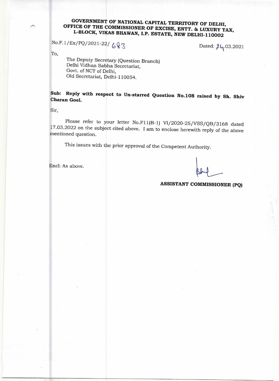## **GOVERNMENT OF NATIONAL CAPITAL TERRITORY OF DELHI, OFFICE OF THE COMMISSIONER OF EXCISE, ENTT. & LUXURY TAX, L-BLOCK, VIKAS BHAWAN, I.P. ESTATE, NEW DELHI-110002**

 $No.F.1/Ex/PQ/2021-22/683$ 

Dated:  $\lambda\mu$ .03.2021

To,

The Deputy Secretary (Question Branch) Delhi Vidhan Sabha Secretariat, Govt. of NCT of Delhi, Old Secretariat, Delhi-110054.

**Sub: Reply with respect to Un-starred Question No.108 raised by Sh. Shiv Charan Goel.** 

Sir,

Please refer to your letter No.F11(B-1) VI/2020-25/VSS/QB/3168 dated 17.03.2022 on the subject cited above. I am to enclose herewith reply of the above mentioned question.

This issues with the prior approval of the Competent Authority.

End: As above.

## **ASSISTANT COMMISSIONER (PQ)**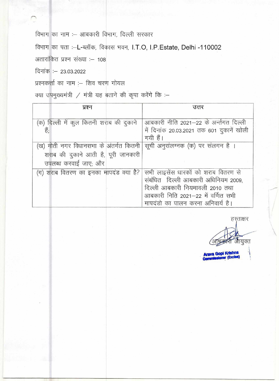विभाग का नाम :- आबकारी विभाग, दिल्ली सरकार

विभाग का पता :--L-ब्लॉक, विकास भवन, I.T.O, I.P.Estate, Delhi -110002

अतारांकित प्रश्न संख्या :- 108

दिनांक : - 23.03.2022

प्रश्नकर्त्ता का नाम :- शिव चरण गोयल

क्या उपमुख्यमंत्री / मंत्री यह बताने की कृपा करेंगे कि :-

| प्रश्न                                  | उत्तर                                     |
|-----------------------------------------|-------------------------------------------|
|                                         |                                           |
| (क) दिल्ली में कुल कितनी शराब की दुकाने | आबकारी नीति 2021–22 के अर्न्तगत दिल्ली    |
| हैं;                                    | में दिनांक 20.03.2021 तक 601 दुकानें खोली |
|                                         | गयी हैं।                                  |
| (ख) मोती नगर विधानसभा के अंतर्गत कितनी  | सूची अनुसंलग्नक (क) पर संलगन है ।         |
| शराब की दुकाने आती है, पूरी जानकारी     |                                           |
| उपलब्ध करवाई जाए; और                    |                                           |
| (ग) शराब वितरण का इनका मापदंड क्या है?  | सभी लाइसेंस धारकों को शराब वितरण से       |
|                                         | संबंधित दिल्ली आबकारी अधिनियम 2009,       |
|                                         | दिल्ली आबकारी नियमावली 2010 तथा           |
|                                         | आबकारी निति 2021–22 में वर्णित सभी        |
|                                         | मापदंडो का पालन करना अनिवार्य है।         |

हस्ताक्षर

आंघ्रकारी आयुक्त

**Arava Gopi Krishna** nmission